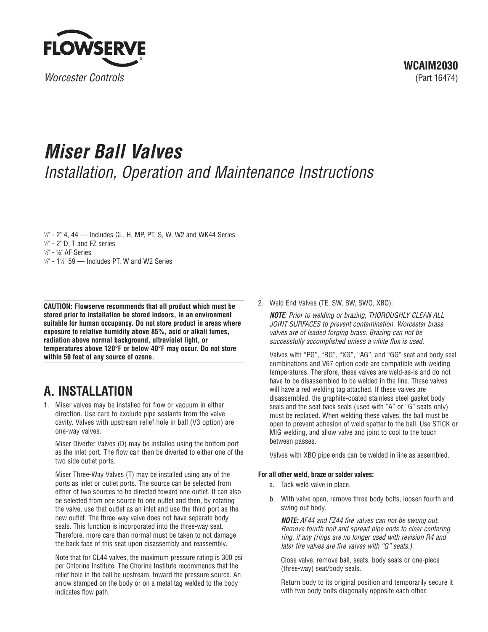

# **Miser Ball Valves** Installation, Operation and Maintenance Instructions

1 /4" - 2" 4, 44 — Includes CL, H, MP, PT, S, W, W2 and WK44 Series 1 /2" - 2" D, T and FZ series

 $1/4"$  -  $1/2"$  59 — Includes PT, W and W2 Series

**CAUTION: Flowserve recommends that all product which must be stored prior to installation be stored indoors, in an environment suitable for human occupancy. Do not store product in areas where exposure to relative humidity above 85%, acid or alkali fumes, radiation above normal background, ultraviolet light, or temperatures above 120°F or below 40°F may occur. Do not store within 50 feet of any source of ozone.**

# **A. INSTALLATION**

1. Miser valves may be installed for flow or vacuum in either direction. Use care to exclude pipe sealants from the valve cavity. Valves with upstream relief hole in ball (V3 option) are one-way valves.

Miser Diverter Valves (D) may be installed using the bottom port as the inlet port. The flow can then be diverted to either one of the two side outlet ports.

Miser Three-Way Valves (T) may be installed using any of the ports as inlet or outlet ports. The source can be selected from either of two sources to be directed toward one outlet. It can also be selected from one source to one outlet and then, by rotating the valve, use that outlet as an inlet and use the third port as the new outlet. The three-way valve does not have separate body seals. This function is incorporated into the three-way seat. Therefore, more care than normal must be taken to not damage the back face of this seat upon disassembly and reassembly.

Note that for CL44 valves, the maximum pressure rating is 300 psi per Chlorine Institute. The Chorine Institute recommends that the relief hole in the ball be upstream, toward the pressure source. An arrow stamped on the body or on a metal tag welded to the body indicates flow path.

2. Weld End Valves (TE, SW, BW, SWO, XBO):

**NOTE**: Prior to welding or brazing, THOROUGHLY CLEAN ALL JOINT SURFACES to prevent contamination. Worcester brass valves are of leaded forging brass. Brazing can not be successfully accomplished unless a white flux is used.

Valves with "PG", "RG", "XG", "AG", and "GG" seat and body seal combinations and V67 option code are compatible with welding temperatures. Therefore, these valves are weld-as-is and do not have to be disassembled to be welded in the line. These valves will have a red welding tag attached. If these valves are disassembled, the graphite-coated stainless steel gasket body seals and the seat back seals (used with "A" or "G" seats only) must be replaced. When welding these valves, the ball must be open to prevent adhesion of weld spatter to the ball. Use STICK or MIG welding, and allow valve and joint to cool to the touch between passes.

Valves with XBO pipe ends can be welded in line as assembled.

### **For all other weld, braze or solder valves:**

- a. Tack weld valve in place.
- b. With valve open, remove three body bolts, loosen fourth and swing out body.

**NOTE:** AF44 and FZ44 fire valves can not be swung out. Remove fourth bolt and spread pipe ends to clear centering ring, if any (rings are no longer used with revision R4 and later fire valves are fire valves with "G" seats.).

Close valve, remove ball, seats, body seals or one-piece (three-way) seat/body seals.

Return body to its original position and temporarily secure it with two body bolts diagonally opposite each other.

<sup>1</sup> /4" - 3 /8" AF Series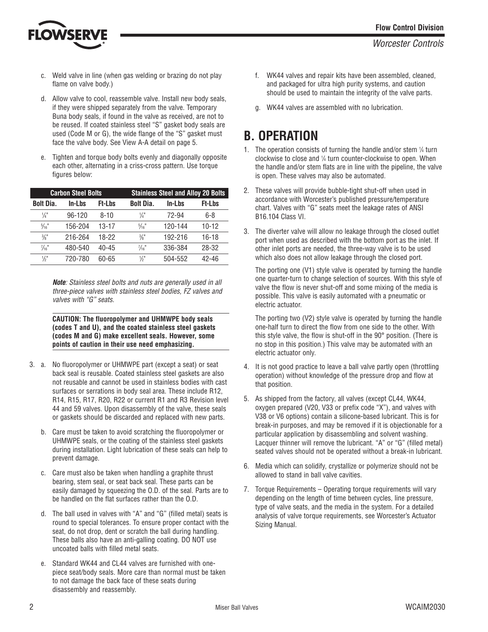

- c. Weld valve in line (when gas welding or brazing do not play flame on valve body.)
- d. Allow valve to cool, reassemble valve. Install new body seals, if they were shipped separately from the valve. Temporary Buna body seals, if found in the valve as received, are not to be reused. If coated stainless steel "S" gasket body seals are used (Code M or G), the wide flange of the "S" gasket must face the valve body. See View A-A detail on page 5.
- e. Tighten and torque body bolts evenly and diagonally opposite each other, alternating in a criss-cross pattern. Use torque figures below:

| <b>Carbon Steel Bolts</b> |          |               | <b>Stainless Steel and Alloy 20 Bolts</b> |         |               |
|---------------------------|----------|---------------|-------------------------------------------|---------|---------------|
| <b>Bolt Dia.</b>          | In-Lbs   | <b>Ft-Lbs</b> | <b>Bolt Dia.</b>                          | In-Lbs  | <b>Ft-Lbs</b> |
| $\frac{1}{4}$             | $96-120$ | $8 - 10$      | 1/4"                                      | 72-94   | 6-8           |
| $\frac{5}{16}$            | 156-204  | $13 - 17$     | $\frac{5}{16}$ "                          | 120-144 | $10-12$       |
| $\frac{3}{8}$ "           | 216-264  | 18-22         | $\frac{3}{8}$                             | 192-216 | $16 - 18$     |
| $\frac{7}{16}$ "          | 480-540  | $40 - 45$     | $\frac{7}{16}$ "                          | 336-384 | 28-32         |
| $\frac{1}{2}$             | 720-780  | 60-65         | $\frac{1}{2}$                             | 504-552 | $42 - 46$     |

**Note**: Stainless steel bolts and nuts are generally used in all three-piece valves with stainless steel bodies, FZ valves and valves with "G" seats.

**CAUTION: The fluoropolymer and UHMWPE body seals (codes T and U), and the coated stainless steel gaskets (codes M and G) make excellent seals. However, some points of caution in their use need emphasizing.**

- 3. a. No fluoropolymer or UHMWPE part (except a seat) or seat back seal is reusable. Coated stainless steel gaskets are also not reusable and cannot be used in stainless bodies with cast surfaces or serrations in body seal area. These include R12, R14, R15, R17, R20, R22 or current R1 and R3 Revision level 44 and 59 valves. Upon disassembly of the valve, these seals or gaskets should be discarded and replaced with new parts.
	- b. Care must be taken to avoid scratching the fluoropolymer or UHMWPE seals, or the coating of the stainless steel gaskets during installation. Light lubrication of these seals can help to prevent damage.
	- c. Care must also be taken when handling a graphite thrust bearing, stem seal, or seat back seal. These parts can be easily damaged by squeezing the O.D. of the seal. Parts are to be handled on the flat surfaces rather than the O.D.
	- d. The ball used in valves with "A" and "G" (filled metal) seats is round to special tolerances. To ensure proper contact with the seat, do not drop, dent or scratch the ball during handling. These balls also have an anti-galling coating. DO NOT use uncoated balls with filled metal seats.
	- e. Standard WK44 and CL44 valves are furnished with onepiece seat/body seals. More care than normal must be taken to not damage the back face of these seats during disassembly and reassembly.
- f. WK44 valves and repair kits have been assembled, cleaned, and packaged for ultra high purity systems, and caution should be used to maintain the integrity of the valve parts.
- g. WK44 valves are assembled with no lubrication.

# **B. OPERATION**

- 1. The operation consists of turning the handle and/or stem  $\frac{1}{4}$  turn clockwise to close and 1 /<sup>4</sup> turn counter-clockwise to open. When the handle and/or stem flats are in line with the pipeline, the valve is open. These valves may also be automated.
- 2. These valves will provide bubble-tight shut-off when used in accordance with Worcester's published pressure/temperature chart. Valves with "G" seats meet the leakage rates of ANSI B16.104 Class VI.
- 3. The diverter valve will allow no leakage through the closed outlet port when used as described with the bottom port as the inlet. If other inlet ports are needed, the three-way valve is to be used which also does not allow leakage through the closed port.

The porting one (V1) style valve is operated by turning the handle one quarter-turn to change selection of sources. With this style of valve the flow is never shut-off and some mixing of the media is possible. This valve is easily automated with a pneumatic or electric actuator.

The porting two (V2) style valve is operated by turning the handle one-half turn to direct the flow from one side to the other. With this style valve, the flow is shut-off in the 90° position. (There is no stop in this position.) This valve may be automated with an electric actuator only.

- 4. It is not good practice to leave a ball valve partly open (throttling operation) without knowledge of the pressure drop and flow at that position.
- 5. As shipped from the factory, all valves (except CL44, WK44, oxygen prepared (V20, V33 or prefix code "X"), and valves with V38 or V6 options) contain a silicone-based lubricant. This is for break-in purposes, and may be removed if it is objectionable for a particular application by disassembling and solvent washing. Lacquer thinner will remove the lubricant. "A" or "G" (filled metal) seated valves should not be operated without a break-in lubricant.
- 6. Media which can solidify, crystallize or polymerize should not be allowed to stand in ball valve cavities.
- 7. Torque Requirements Operating torque requirements will vary depending on the length of time between cycles, line pressure, type of valve seats, and the media in the system. For a detailed analysis of valve torque requirements, see Worcester's Actuator Sizing Manual.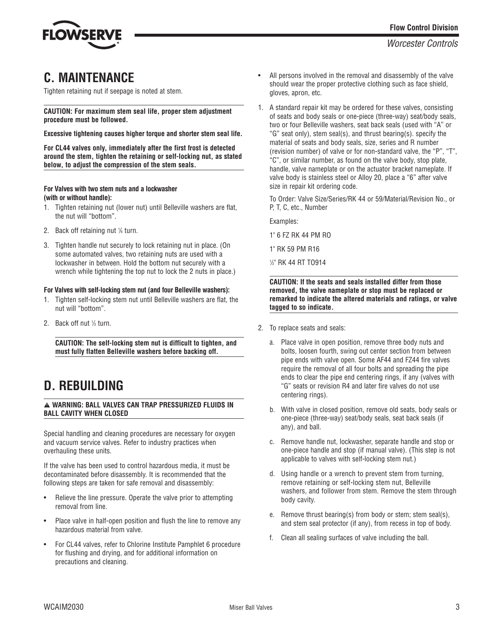

### **C. MAINTENANCE**

Tighten retaining nut if seepage is noted at stem.

**CAUTION: For maximum stem seal life, proper stem adjustment procedure must be followed.**

**Excessive tightening causes higher torque and shorter stem seal life.**

**For CL44 valves only, immediately after the first frost is detected around the stem, tighten the retaining or self-locking nut, as stated below, to adjust the compression of the stem seals.**

#### **For Valves with two stem nuts and a lockwasher (with or without handle):**

- 1. Tighten retaining nut (lower nut) until Belleville washers are flat, the nut will "bottom".
- 2. Back off retaining nut  $\frac{1}{6}$  turn.
- 3. Tighten handle nut securely to lock retaining nut in place. (On some automated valves, two retaining nuts are used with a lockwasher in between. Hold the bottom nut securely with a wrench while tightening the top nut to lock the 2 nuts in place.)

#### **For Valves with self-locking stem nut (and four Belleville washers):**

- 1. Tighten self-locking stem nut until Belleville washers are flat, the nut will "bottom".
- 2. Back off nut  $\frac{1}{3}$  turn.

**CAUTION: The self-locking stem nut is difficult to tighten, and must fully flatten Belleville washers before backing off.**

# **D. REBUILDING**

#### a **WARNING: BALL VALVES CAN TRAP PRESSURIZED FLUIDS IN BALL CAVITY WHEN CLOSED**

Special handling and cleaning procedures are necessary for oxygen and vacuum service valves. Refer to industry practices when overhauling these units.

If the valve has been used to control hazardous media, it must be decontaminated before disassembly. It is recommended that the following steps are taken for safe removal and disassembly:

- Relieve the line pressure. Operate the valve prior to attempting removal from line.
- Place valve in half-open position and flush the line to remove any hazardous material from valve.
- For CL44 valves, refer to Chlorine Institute Pamphlet 6 procedure for flushing and drying, and for additional information on precautions and cleaning.
- All persons involved in the removal and disassembly of the valve should wear the proper protective clothing such as face shield, gloves, apron, etc.
- 1. A standard repair kit may be ordered for these valves, consisting of seats and body seals or one-piece (three-way) seat/body seals, two or four Belleville washers, seat back seals (used with "A" or "G" seat only), stem seal(s), and thrust bearing(s). specify the material of seats and body seals, size, series and R number (revision number) of valve or for non-standard valve, the "P", "T", "C", or similar number, as found on the valve body, stop plate, handle, valve nameplate or on the actuator bracket nameplate. If valve body is stainless steel or Alloy 20, place a "6" after valve size in repair kit ordering code.

To Order: Valve Size/Series/RK 44 or 59/Material/Revision No., or P, T, C, etc., Number

Examples:

1" 6 FZ RK 44 PM RO

1" RK 59 PM R16

1 /2" RK 44 RT TO914

**CAUTION: If the seats and seals installed differ from those removed, the valve nameplate or stop must be replaced or remarked to indicate the altered materials and ratings, or valve tagged to so indicate.**

- 2. To replace seats and seals:
	- a. Place valve in open position, remove three body nuts and bolts, loosen fourth, swing out center section from between pipe ends with valve open. Some AF44 and FZ44 fire valves require the removal of all four bolts and spreading the pipe ends to clear the pipe end centering rings, if any (valves with "G" seats or revision R4 and later fire valves do not use centering rings).
	- b. With valve in closed position, remove old seats, body seals or one-piece (three-way) seat/body seals, seat back seals (if any), and ball.
	- c. Remove handle nut, lockwasher, separate handle and stop or one-piece handle and stop (if manual valve). (This step is not applicable to valves with self-locking stem nut.)
	- d. Using handle or a wrench to prevent stem from turning, remove retaining or self-locking stem nut, Belleville washers, and follower from stem. Remove the stem through body cavity.
	- e. Remove thrust bearing(s) from body or stem; stem seal(s), and stem seal protector (if any), from recess in top of body.
	- f. Clean all sealing surfaces of valve including the ball.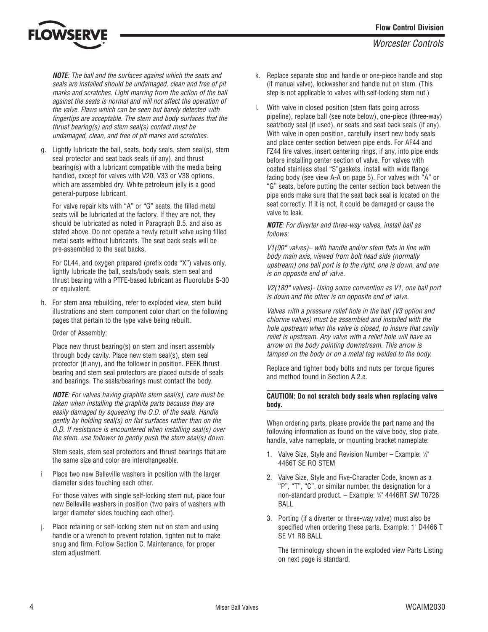

**NOTE**: The ball and the surfaces against which the seats and seals are installed should be undamaged, clean and free of pit marks and scratches. Light marring from the action of the ball against the seats is normal and will not affect the operation of the valve. Flaws which can be seen but barely detected with fingertips are acceptable. The stem and body surfaces that the thrust bearing(s) and stem seal(s) contact must be undamaged, clean, and free of pit marks and scratches.

g. Lightly lubricate the ball, seats, body seals, stem seal(s), stem seal protector and seat back seals (if any), and thrust bearing(s) with a lubricant compatible with the media being handled, except for valves with V20, V33 or V38 options, which are assembled dry. White petroleum jelly is a good general-purpose lubricant.

For valve repair kits with "A" or "G" seats, the filled metal seats will be lubricated at the factory. If they are not, they should be lubricated as noted in Paragraph B.5. and also as stated above. Do not operate a newly rebuilt valve using filled metal seats without lubricants. The seat back seals will be pre-assembled to the seat backs.

For CL44, and oxygen prepared (prefix code "X") valves only, lightly lubricate the ball, seats/body seals, stem seal and thrust bearing with a PTFE-based lubricant as Fluorolube S-30 or equivalent.

h. For stem area rebuilding, refer to exploded view, stem build illustrations and stem component color chart on the following pages that pertain to the type valve being rebuilt.

Order of Assembly:

Place new thrust bearing(s) on stem and insert assembly through body cavity. Place new stem seal(s), stem seal protector (if any), and the follower in position. PEEK thrust bearing and stem seal protectors are placed outside of seals and bearings. The seals/bearings must contact the body.

**NOTE**: For valves having graphite stem seal(s), care must be taken when installing the graphite parts because they are easily damaged by squeezing the O.D. of the seals. Handle gently by holding seal(s) on flat surfaces rather than on the O.D. If resistance is encountered when installing seal(s) over the stem, use follower to gently push the stem seal(s) down.

Stem seals, stem seal protectors and thrust bearings that are the same size and color are interchangeable.

i Place two new Belleville washers in position with the larger diameter sides touching each other.

For those valves with single self-locking stem nut, place four new Belleville washers in position (two pairs of washers with larger diameter sides touching each other).

Place retaining or self-locking stem nut on stem and using handle or a wrench to prevent rotation, tighten nut to make snug and firm. Follow Section C, Maintenance, for proper stem adjustment.

- k. Replace separate stop and handle or one-piece handle and stop (if manual valve), lockwasher and handle nut on stem. (This step is not applicable to valves with self-locking stem nut.)
- l. With valve in closed position (stem flats going across pipeline), replace ball (see note below), one-piece (three-way) seat/body seal (if used), or seats and seat back seals (if any). With valve in open position, carefully insert new body seals and place center section between pipe ends. For AF44 and FZ44 fire valves, insert centering rings, if any, into pipe ends before installing center section of valve. For valves with coated stainless steel "S"gaskets, install with wide flange facing body (see view A-A on page 5). For valves with "A" or "G" seats, before putting the center section back between the pipe ends make sure that the seat back seal is located on the seat correctly. If it is not, it could be damaged or cause the valve to leak.

**NOTE**: For diverter and three-way valves, install ball as follows:

V1(90° valves)– with handle and/or stem flats in line with body main axis, viewed from bolt head side (normally upstream) one ball port is to the right, one is down, and one is on opposite end of valve.

V2(180° valves)- Using some convention as V1, one ball port is down and the other is on opposite end of valve.

Valves with a pressure relief hole in the ball (V3 option and chlorine valves) must be assembled and installed with the hole upstream when the valve is closed, to insure that cavity relief is upstream. Any valve with a relief hole will have an arrow on the body pointing downstream. This arrow is tamped on the body or on a metal tag welded to the body.

Replace and tighten body bolts and nuts per torque figures and method found in Section A.2.e.

#### **CAUTION: Do not scratch body seals when replacing valve body.**

When ordering parts, please provide the part name and the following information as found on the valve body, stop plate, handle, valve nameplate, or mounting bracket nameplate:

- 1. Valve Size, Style and Revision Number Example: 1/2" 4466T SE RO STEM
- 2. Valve Size, Style and Five-Character Code, known as a "P", "T", "C", or similar number, the designation for a non-standard product. – Example: 3 /4" 4446RT SW T0726 BALL
- 3. Porting (if a diverter or three-way valve) must also be specified when ordering these parts. Example: 1" D4466 T SE V1 R8 BALL

The terminology shown in the exploded view Parts Listing on next page is standard.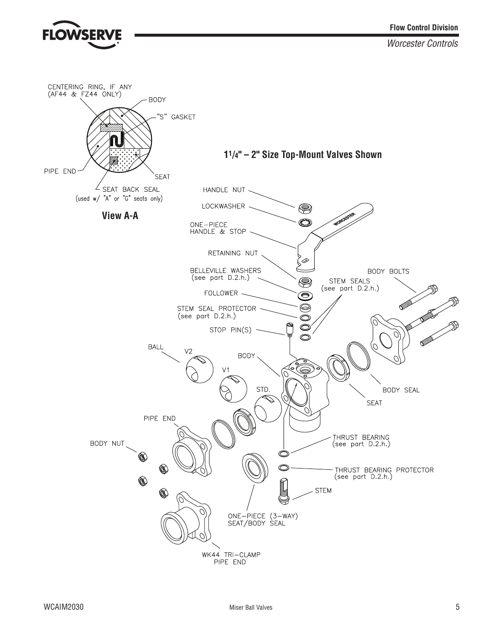

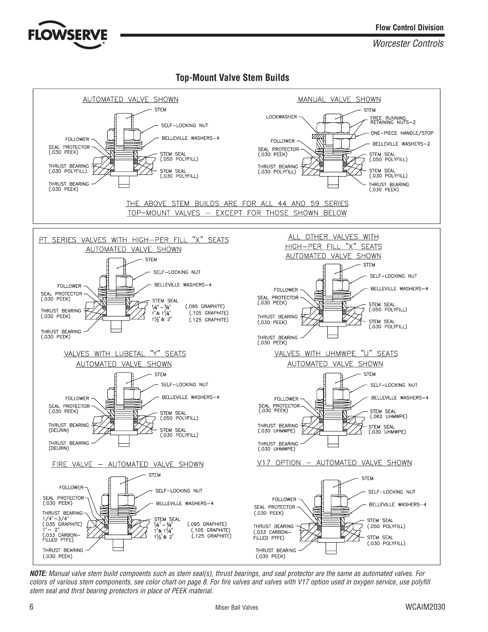

### **Top-Mount Valve Stem Builds**



**NOTE:** Manual valve stem build compoents such as stem seal(s), thrust bearings, and seal protector are the same as automated valves. For colors of various stem components, see color chart on page 8. For fire valves and valves with V17 option used in oxygen service, use polyfill stem seal and thrst bearing protectors in place of PEEK material.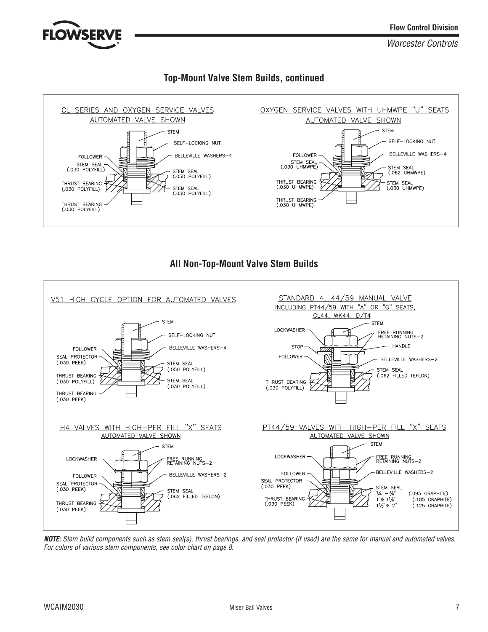

### **Top-Mount Valve Stem Builds, continued**



### **All Non-Top-Mount Valve Stem Builds**



**NOTE:** Stem build components such as stem seal(s), thrust bearings, and seal protector (if used) are the same for manual and automated valves. For colors of various stem components, see color chart on page 8.